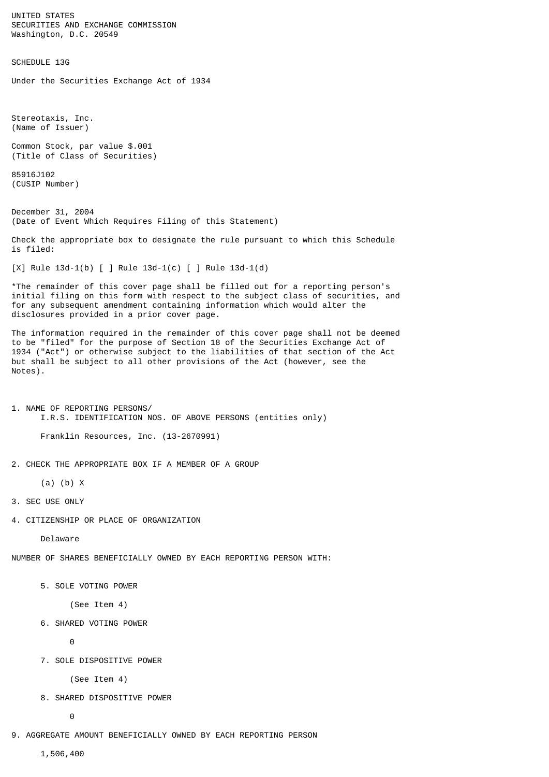UNITED STATES SECURITIES AND EXCHANGE COMMISSION Washington, D.C. 20549

SCHEDULE 13G

Under the Securities Exchange Act of 1934

Stereotaxis, Inc. (Name of Issuer)

Common Stock, par value \$.001 (Title of Class of Securities)

85916J102 (CUSIP Number)

December 31, 2004 (Date of Event Which Requires Filing of this Statement)

Check the appropriate box to designate the rule pursuant to which this Schedule is filed:

[X] Rule 13d-1(b) [ ] Rule 13d-1(c) [ ] Rule 13d-1(d)

\*The remainder of this cover page shall be filled out for a reporting person's initial filing on this form with respect to the subject class of securities, and for any subsequent amendment containing information which would alter the disclosures provided in a prior cover page.

The information required in the remainder of this cover page shall not be deemed to be "filed" for the purpose of Section 18 of the Securities Exchange Act of 1934 ("Act") or otherwise subject to the liabilities of that section of the Act but shall be subject to all other provisions of the Act (however, see the Notes).

1. NAME OF REPORTING PERSONS/ I.R.S. IDENTIFICATION NOS. OF ABOVE PERSONS (entities only)

Franklin Resources, Inc. (13-2670991)

2. CHECK THE APPROPRIATE BOX IF A MEMBER OF A GROUP

(a) (b) X

3. SEC USE ONLY

4. CITIZENSHIP OR PLACE OF ORGANIZATION

Delaware

NUMBER OF SHARES BENEFICIALLY OWNED BY EACH REPORTING PERSON WITH:

5. SOLE VOTING POWER

(See Item 4)

6. SHARED VOTING POWER

0

7. SOLE DISPOSITIVE POWER

(See Item 4)

8. SHARED DISPOSITIVE POWER

0

9. AGGREGATE AMOUNT BENEFICIALLY OWNED BY EACH REPORTING PERSON

1,506,400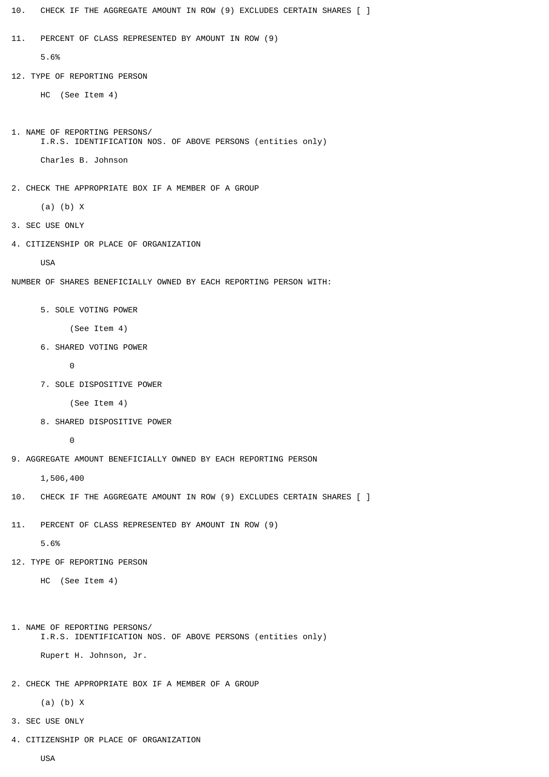| CHECK IF THE AGGREGATE AMOUNT IN ROW (9) EXCLUDES CERTAIN SHARES [ ]<br>10.                  |  |  |  |
|----------------------------------------------------------------------------------------------|--|--|--|
| PERCENT OF CLASS REPRESENTED BY AMOUNT IN ROW (9)<br>11.                                     |  |  |  |
| 5.6%                                                                                         |  |  |  |
| 12. TYPE OF REPORTING PERSON                                                                 |  |  |  |
| (See Item 4)<br>нc                                                                           |  |  |  |
|                                                                                              |  |  |  |
| 1. NAME OF REPORTING PERSONS/<br>I.R.S. IDENTIFICATION NOS. OF ABOVE PERSONS (entities only) |  |  |  |
| Charles B. Johnson                                                                           |  |  |  |
| 2. CHECK THE APPROPRIATE BOX IF A MEMBER OF A GROUP                                          |  |  |  |
| $(a)$ $(b)$ X                                                                                |  |  |  |
| 3. SEC USE ONLY                                                                              |  |  |  |
| 4. CITIZENSHIP OR PLACE OF ORGANIZATION                                                      |  |  |  |
| <b>USA</b>                                                                                   |  |  |  |
| NUMBER OF SHARES BENEFICIALLY OWNED BY EACH REPORTING PERSON WITH:                           |  |  |  |
| 5. SOLE VOTING POWER                                                                         |  |  |  |
| (See Item 4)                                                                                 |  |  |  |
| 6. SHARED VOTING POWER                                                                       |  |  |  |
| 0                                                                                            |  |  |  |
| 7. SOLE DISPOSITIVE POWER                                                                    |  |  |  |
| (See Item 4)                                                                                 |  |  |  |
| 8. SHARED DISPOSITIVE POWER                                                                  |  |  |  |
| $\Theta$                                                                                     |  |  |  |
| 9. AGGREGATE AMOUNT BENEFICIALLY OWNED BY EACH REPORTING PERSON                              |  |  |  |
| 1,506,400                                                                                    |  |  |  |
| CHECK IF THE AGGREGATE AMOUNT IN ROW (9) EXCLUDES CERTAIN SHARES [ ]<br>10.                  |  |  |  |
| PERCENT OF CLASS REPRESENTED BY AMOUNT IN ROW (9)<br>11.                                     |  |  |  |
| 5.6%                                                                                         |  |  |  |
| 12. TYPE OF REPORTING PERSON                                                                 |  |  |  |
| (See Item 4)<br>нc                                                                           |  |  |  |

```
1. NAME OF REPORTING PERSONS/
       I.R.S. IDENTIFICATION NOS. OF ABOVE PERSONS (entities only)
       Rupert H. Johnson, Jr.
```
2. CHECK THE APPROPRIATE BOX IF A MEMBER OF A GROUP

(a) (b) X

- 3. SEC USE ONLY
- 4. CITIZENSHIP OR PLACE OF ORGANIZATION

USA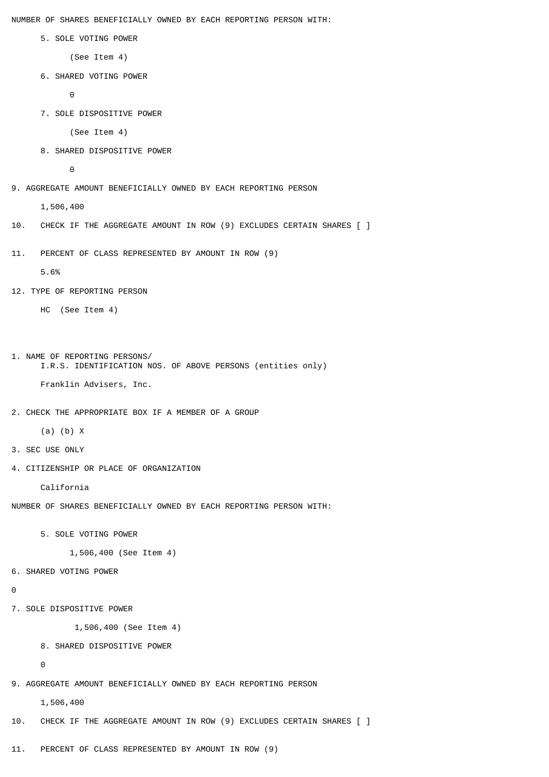NUMBER OF SHARES BENEFICIALLY OWNED BY EACH REPORTING PERSON WITH:

5. SOLE VOTING POWER

(See Item 4)

6. SHARED VOTING POWER

```
 0
```
7. SOLE DISPOSITIVE POWER

(See Item 4)

8. SHARED DISPOSITIVE POWER

0

9. AGGREGATE AMOUNT BENEFICIALLY OWNED BY EACH REPORTING PERSON

1,506,400

- 10. CHECK IF THE AGGREGATE AMOUNT IN ROW (9) EXCLUDES CERTAIN SHARES [ ]
- 11. PERCENT OF CLASS REPRESENTED BY AMOUNT IN ROW (9)

5.6%

12. TYPE OF REPORTING PERSON

HC (See Item 4)

```
1. NAME OF REPORTING PERSONS/
      I.R.S. IDENTIFICATION NOS. OF ABOVE PERSONS (entities only)
```
Franklin Advisers, Inc.

2. CHECK THE APPROPRIATE BOX IF A MEMBER OF A GROUP

(a) (b) X

- 3. SEC USE ONLY
- 4. CITIZENSHIP OR PLACE OF ORGANIZATION

California

NUMBER OF SHARES BENEFICIALLY OWNED BY EACH REPORTING PERSON WITH:

5. SOLE VOTING POWER

1,506,400 (See Item 4)

6. SHARED VOTING POWER

```
\Omega
```
7. SOLE DISPOSITIVE POWER

1,506,400 (See Item 4)

```
 8. SHARED DISPOSITIVE POWER
```
 $\Theta$ 

9. AGGREGATE AMOUNT BENEFICIALLY OWNED BY EACH REPORTING PERSON

1,506,400

10. CHECK IF THE AGGREGATE AMOUNT IN ROW (9) EXCLUDES CERTAIN SHARES [ ]

11. PERCENT OF CLASS REPRESENTED BY AMOUNT IN ROW (9)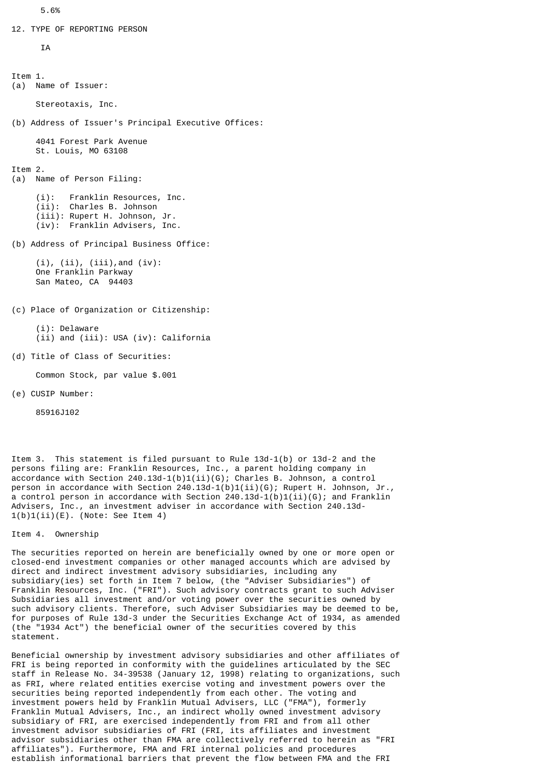12. TYPE OF REPORTING PERSON

**TA** 

```
Item 1.
(a) Name of Issuer:
     Stereotaxis, Inc.
(b) Address of Issuer's Principal Executive Offices:
      4041 Forest Park Avenue
     St. Louis, MO 63108
Item 2.
(a) Name of Person Filing:
 (i): Franklin Resources, Inc.
 (ii): Charles B. Johnson
      (iii): Rupert H. Johnson, Jr.
      (iv): Franklin Advisers, Inc.
(b) Address of Principal Business Office:
      (i), (ii), (iii),and (iv):
     One Franklin Parkway
      San Mateo, CA 94403
(c) Place of Organization or Citizenship:
      (i): Delaware
      (ii) and (iii): USA (iv): California
(d) Title of Class of Securities:
     Common Stock, par value $.001
(e) CUSIP Number:
```
85916J102

Item 3. This statement is filed pursuant to Rule 13d-1(b) or 13d-2 and the persons filing are: Franklin Resources, Inc., a parent holding company in accordance with Section 240.13d-1(b)1(ii)(G); Charles B. Johnson, a control person in accordance with Section 240.13d-1(b)1(ii)(G); Rupert H. Johnson, Jr., a control person in accordance with Section 240.13d-1(b)1(ii)(G); and Franklin Advisers, Inc., an investment adviser in accordance with Section 240.13d- $1(b)1(i)$  (E). (Note: See Item 4)

Item 4. Ownership

The securities reported on herein are beneficially owned by one or more open or closed-end investment companies or other managed accounts which are advised by direct and indirect investment advisory subsidiaries, including any subsidiary(ies) set forth in Item 7 below, (the "Adviser Subsidiaries") of Franklin Resources, Inc. ("FRI"). Such advisory contracts grant to such Adviser Subsidiaries all investment and/or voting power over the securities owned by such advisory clients. Therefore, such Adviser Subsidiaries may be deemed to be, for purposes of Rule 13d-3 under the Securities Exchange Act of 1934, as amended (the "1934 Act") the beneficial owner of the securities covered by this statement.

Beneficial ownership by investment advisory subsidiaries and other affiliates of FRI is being reported in conformity with the guidelines articulated by the SEC staff in Release No. 34-39538 (January 12, 1998) relating to organizations, such as FRI, where related entities exercise voting and investment powers over the securities being reported independently from each other. The voting and investment powers held by Franklin Mutual Advisers, LLC ("FMA"), formerly Franklin Mutual Advisers, Inc., an indirect wholly owned investment advisory subsidiary of FRI, are exercised independently from FRI and from all other investment advisor subsidiaries of FRI (FRI, its affiliates and investment advisor subsidiaries other than FMA are collectively referred to herein as "FRI affiliates"). Furthermore, FMA and FRI internal policies and procedures establish informational barriers that prevent the flow between FMA and the FRI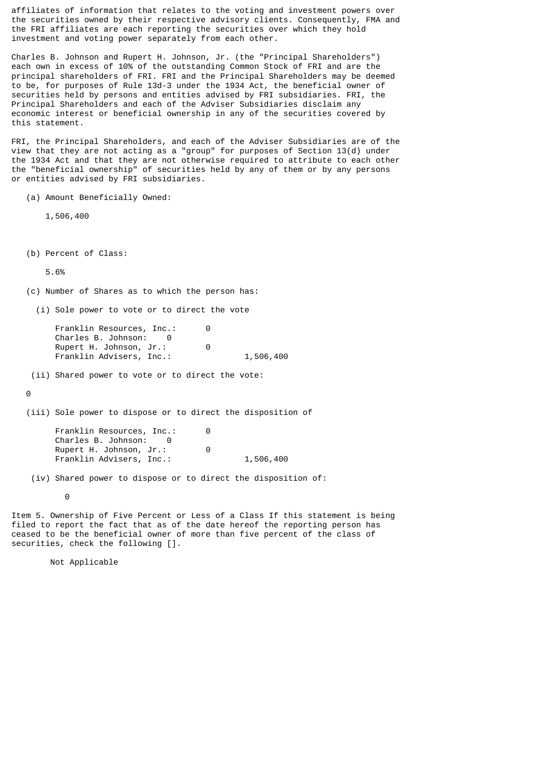affiliates of information that relates to the voting and investment powers over the securities owned by their respective advisory clients. Consequently, FMA and the FRI affiliates are each reporting the securities over which they hold investment and voting power separately from each other.

Charles B. Johnson and Rupert H. Johnson, Jr. (the "Principal Shareholders") each own in excess of 10% of the outstanding Common Stock of FRI and are the principal shareholders of FRI. FRI and the Principal Shareholders may be deemed to be, for purposes of Rule 13d-3 under the 1934 Act, the beneficial owner of securities held by persons and entities advised by FRI subsidiaries. FRI, the Principal Shareholders and each of the Adviser Subsidiaries disclaim any economic interest or beneficial ownership in any of the securities covered by this statement.

FRI, the Principal Shareholders, and each of the Adviser Subsidiaries are of the view that they are not acting as a "group" for purposes of Section 13(d) under the 1934 Act and that they are not otherwise required to attribute to each other the "beneficial ownership" of securities held by any of them or by any persons or entities advised by FRI subsidiaries.

(a) Amount Beneficially Owned:

1,506,400

(b) Percent of Class:

5.6%

(c) Number of Shares as to which the person has:

(i) Sole power to vote or to direct the vote

Franklin Resources, Inc.: 0 Charles B. Johnson: 0 Rupert H. Johnson, Jr.: 0 Franklin Advisers, Inc.: 1,506,400

(ii) Shared power to vote or to direct the vote:

 $\Theta$ 

(iii) Sole power to dispose or to direct the disposition of

Franklin Resources, Inc.: 0 Charles B. Johnson: 0 Rupert H. Johnson, Jr.: 0 Franklin Advisers, Inc.: 1,506,400

(iv) Shared power to dispose or to direct the disposition of:

**0** 

Item 5. Ownership of Five Percent or Less of a Class If this statement is being filed to report the fact that as of the date hereof the reporting person has ceased to be the beneficial owner of more than five percent of the class of securities, check the following [].

Not Applicable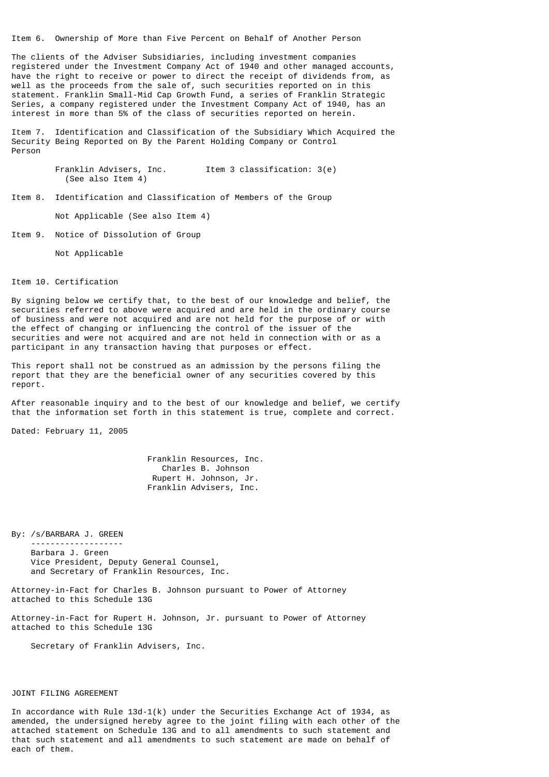Item 6. Ownership of More than Five Percent on Behalf of Another Person

The clients of the Adviser Subsidiaries, including investment companies registered under the Investment Company Act of 1940 and other managed accounts, have the right to receive or power to direct the receipt of dividends from, as well as the proceeds from the sale of, such securities reported on in this statement. Franklin Small-Mid Cap Growth Fund, a series of Franklin Strategic Series, a company registered under the Investment Company Act of 1940, has an interest in more than 5% of the class of securities reported on herein.

Item 7. Identification and Classification of the Subsidiary Which Acquired the Security Being Reported on By the Parent Holding Company or Control Person

> Franklin Advisers, Inc. Item 3 classification: 3(e) (See also Item 4)

Item 8. Identification and Classification of Members of the Group

Not Applicable (See also Item 4)

Item 9. Notice of Dissolution of Group

Not Applicable

Item 10. Certification

By signing below we certify that, to the best of our knowledge and belief, the securities referred to above were acquired and are held in the ordinary course of business and were not acquired and are not held for the purpose of or with the effect of changing or influencing the control of the issuer of the securities and were not acquired and are not held in connection with or as a participant in any transaction having that purposes or effect.

This report shall not be construed as an admission by the persons filing the report that they are the beneficial owner of any securities covered by this report.

After reasonable inquiry and to the best of our knowledge and belief, we certify that the information set forth in this statement is true, complete and correct.

Dated: February 11, 2005

 Franklin Resources, Inc. Charles B. Johnson Rupert H. Johnson, Jr. Franklin Advisers, Inc.

By: /s/BARBARA J. GREEN -------------------

> Barbara J. Green Vice President, Deputy General Counsel, and Secretary of Franklin Resources, Inc.

Attorney-in-Fact for Charles B. Johnson pursuant to Power of Attorney attached to this Schedule 13G

Attorney-in-Fact for Rupert H. Johnson, Jr. pursuant to Power of Attorney attached to this Schedule 13G

Secretary of Franklin Advisers, Inc.

## JOINT FILING AGREEMENT

In accordance with Rule 13d-1(k) under the Securities Exchange Act of 1934, as amended, the undersigned hereby agree to the joint filing with each other of the attached statement on Schedule 13G and to all amendments to such statement and that such statement and all amendments to such statement are made on behalf of each of them.